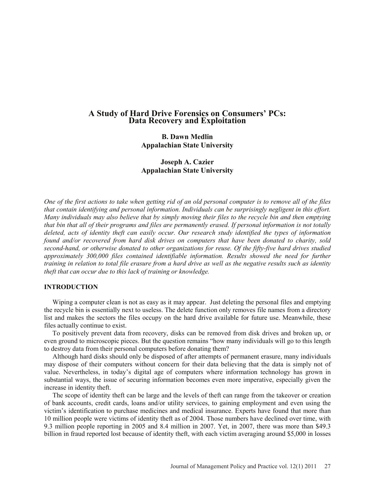# **A Study of Hard Drive Forensics on Consumers' PCs: Data Recovery and Exploitation**

**B. Dawn Medlin Appalachian State University**

**Joseph A. Cazier Appalachian State University**

*One of the first actions to take when getting rid of an old personal computer is to remove all of the files that contain identifying and personal information. Individuals can be surprisingly negligent in this effort. Many individuals may also believe that by simply moving their files to the recycle bin and then emptying that bin that all of their programs and files are permanently erased. If personal information is not totally deleted, acts of identity theft can easily occur. Our research study identified the types of information found and/or recovered from hard disk drives on computers that have been donated to charity, sold second-hand, or otherwise donated to other organizations for reuse. Of the fifty-five hard drives studied approximately 300,000 files contained identifiable information. Results showed the need for further training in relation to total file erasure from a hard drive as well as the negative results such as identity theft that can occur due to this lack of training or knowledge.*

#### **INTRODUCTION**

Wiping a computer clean is not as easy as it may appear. Just deleting the personal files and emptying the recycle bin is essentially next to useless. The delete function only removes file names from a directory list and makes the sectors the files occupy on the hard drive available for future use. Meanwhile, these files actually continue to exist.

To positively prevent data from recovery, disks can be removed from disk drives and broken up, or even ground to microscopic pieces. But the question remains "how many individuals will go to this length to destroy data from their personal computers before donating them?

Although hard disks should only be disposed of after attempts of permanent erasure, many individuals may dispose of their computers without concern for their data believing that the data is simply not of value. Nevertheless, in today's digital age of computers where information technology has grown in substantial ways, the issue of securing information becomes even more imperative, especially given the increase in identity theft.

The scope of identity theft can be large and the levels of theft can range from the takeover or creation of bank accounts, credit cards, loans and/or utility services, to gaining employment and even using the victim's identification to purchase medicines and medical insurance. Experts have found that more than 10 million people were victims of identity theft as of 2004. Those numbers have declined over time, with 9.3 million people reporting in 2005 and 8.4 million in 2007. Yet, in 2007, there was more than \$49.3 billion in fraud reported lost because of identity theft, with each victim averaging around \$5,000 in losses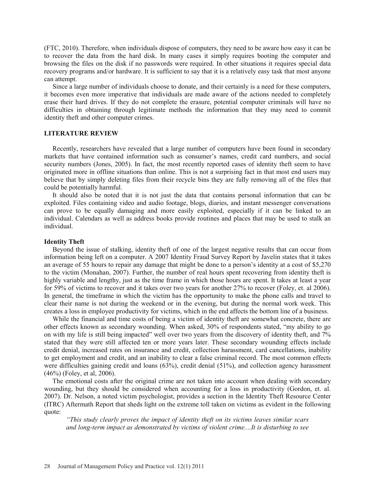(FTC, 2010). Therefore, when individuals dispose of computers, they need to be aware how easy it can be to recover the data from the hard disk. In many cases it simply requires booting the computer and browsing the files on the disk if no passwords were required. In other situations it requires special data recovery programs and/or hardware. It is sufficient to say that it is a relatively easy task that most anyone can attempt.

Since a large number of individuals choose to donate, and their certainly is a need for these computers, it becomes even more imperative that individuals are made aware of the actions needed to completely erase their hard drives. If they do not complete the erasure, potential computer criminals will have no difficulties in obtaining through legitimate methods the information that they may need to commit identity theft and other computer crimes.

## **LITERATURE REVIEW**

Recently, researchers have revealed that a large number of computers have been found in secondary markets that have contained information such as consumer's names, credit card numbers, and social security numbers (Jones, 2005). In fact, the most recently reported cases of identity theft seem to have originated more in offline situations than online. This is not a surprising fact in that most end users may believe that by simply deleting files from their recycle bins they are fully removing all of the files that could be potentially harmful.

It should also be noted that it is not just the data that contains personal information that can be exploited. Files containing video and audio footage, blogs, diaries, and instant messenger conversations can prove to be equally damaging and more easily exploited, especially if it can be linked to an individual. Calendars as well as address books provide routines and places that may be used to stalk an individual.

#### **Identity Theft**

Beyond the issue of stalking, identity theft of one of the largest negative results that can occur from information being left on a computer. A 2007 Identity Fraud Survey Report by Javelin states that it takes an average of 55 hours to repair any damage that might be done to a person's identity at a cost of \$5,270 to the victim (Monahan, 2007). Further, the number of real hours spent recovering from identity theft is highly variable and lengthy, just as the time frame in which those hours are spent. It takes at least a year for 59% of victims to recover and it takes over two years for another 27% to recover (Foley, et. al 2006). In general, the timeframe in which the victim has the opportunity to make the phone calls and travel to clear their name is not during the weekend or in the evening, but during the normal work week. This creates a loss in employee productivity for victims, which in the end affects the bottom line of a business.

While the financial and time costs of being a victim of identity theft are somewhat concrete, there are other effects known as secondary wounding. When asked, 30% of respondents stated, "my ability to go on with my life is still being impacted" well over two years from the discovery of identity theft, and 7% stated that they were still affected ten or more years later. These secondary wounding effects include credit denial, increased rates on insurance and credit, collection harassment, card cancellations, inability to get employment and credit, and an inability to clear a false criminal record. The most common effects were difficulties gaining credit and loans (63%), credit denial (51%), and collection agency harassment (46%) (Foley, et al, 2006).

The emotional costs after the original crime are not taken into account when dealing with secondary wounding, but they should be considered when accounting for a loss in productivity (Gordon, et. al. 2007). Dr. Nelson, a noted victim psychologist, provides a section in the Identity Theft Resource Center (ITRC) Aftermath Report that sheds light on the extreme toll taken on victims as evident in the following quote:

*"This study clearly proves the impact of identity theft on its victims leaves similar scars and long-term impact as demonstrated by victims of violent crime....It is disturbing to see*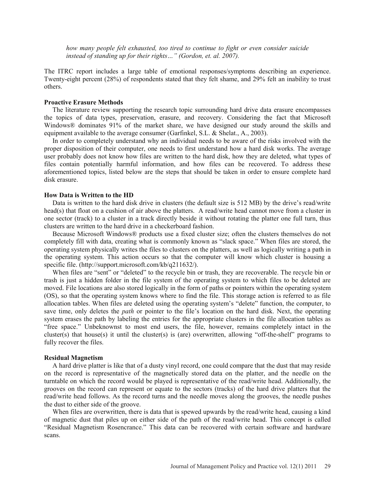*how many people felt exhausted, too tired to continue to fight or even consider suicide instead of standing up for their rights…" (Gordon, et. al. 2007).*

The ITRC report includes a large table of emotional responses/symptoms describing an experience. Twenty-eight percent (28%) of respondents stated that they felt shame, and 29% felt an inability to trust others.

#### **Proactive Erasure Methods**

The literature review supporting the research topic surrounding hard drive data erasure encompasses the topics of data types, preservation, erasure, and recovery. Considering the fact that Microsoft Windows® dominates 91% of the market share, we have designed our study around the skills and equipment available to the average consumer (Garfinkel, S.L. & Shelat., A., 2003).

In order to completely understand why an individual needs to be aware of the risks involved with the proper disposition of their computer, one needs to first understand how a hard disk works. The average user probably does not know how files are written to the hard disk, how they are deleted, what types of files contain potentially harmful information, and how files can be recovered. To address these aforementioned topics, listed below are the steps that should be taken in order to ensure complete hard disk erasure.

## **How Data is Written to the HD**

Data is written to the hard disk drive in clusters (the default size is 512 MB) by the drive's read/write head(s) that float on a cushion of air above the platters. A read/write head cannot move from a cluster in one sector (track) to a cluster in a track directly beside it without rotating the platter one full turn, thus clusters are written to the hard drive in a checkerboard fashion.

Because Microsoft Windows® products use a fixed cluster size; often the clusters themselves do not completely fill with data, creating what is commonly known as "slack space." When files are stored, the operating system physically writes the files to clusters on the platters, as well as logically writing a path in the operating system. This action occurs so that the computer will know which cluster is housing a specific file. (http://support.microsoft.com/kb/q211632/).

When files are "sent" or "deleted" to the recycle bin or trash, they are recoverable. The recycle bin or trash is just a hidden folder in the file system of the operating system to which files to be deleted are moved. File locations are also stored logically in the form of paths or pointers within the operating system (OS), so that the operating system knows where to find the file. This storage action is referred to as file allocation tables. When files are deleted using the operating system's "delete" function, the computer, to save time, only deletes the *path* or pointer to the file's location on the hard disk. Next, the operating system erases the path by labeling the entries for the appropriate clusters in the file allocation tables as "free space." Unbeknownst to most end users, the file, however, remains completely intact in the cluster(s) that house(s) it until the cluster(s) is (are) overwritten, allowing "off-the-shelf" programs to fully recover the files.

#### **Residual Magnetism**

 A hard drive platter is like that of a dusty vinyl record, one could compare that the dust that may reside on the record is representative of the magnetically stored data on the platter, and the needle on the turntable on which the record would be played is representative of the read/write head. Additionally, the grooves on the record can represent or equate to the sectors (tracks) of the hard drive platters that the read/write head follows. As the record turns and the needle moves along the grooves, the needle pushes the dust to either side of the groove.

When files are overwritten, there is data that is spewed upwards by the read/write head, causing a kind of magnetic dust that piles up on either side of the path of the read/write head. This concept is called "Residual Magnetism Rosencrance." This data can be recovered with certain software and hardware scans.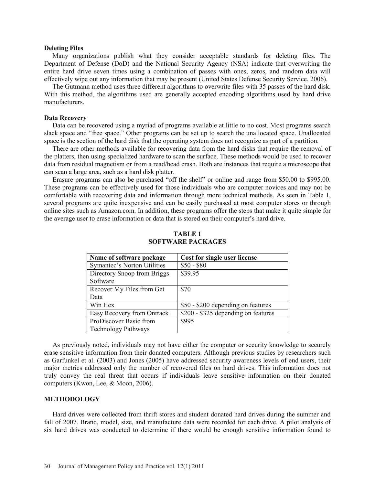## **Deleting Files**

Many organizations publish what they consider acceptable standards for deleting files. The Department of Defense (DoD) and the National Security Agency (NSA) indicate that overwriting the entire hard drive seven times using a combination of passes with ones, zeros, and random data will effectively wipe out any information that may be present (United States Defense Security Service, 2006).

The Gutmann method uses three different algorithms to overwrite files with 35 passes of the hard disk. With this method, the algorithms used are generally accepted encoding algorithms used by hard drive manufacturers.

## **Data Recovery**

Data can be recovered using a myriad of programs available at little to no cost. Most programs search slack space and "free space." Other programs can be set up to search the unallocated space. Unallocated space is the section of the hard disk that the operating system does not recognize as part of a partition.

There are other methods available for recovering data from the hard disks that require the removal of the platters, then using specialized hardware to scan the surface. These methods would be used to recover data from residual magnetism or from a read/head crash. Both are instances that require a microscope that can scan a large area, such as a hard disk platter.

Erasure programs can also be purchased "off the shelf" or online and range from \$50.00 to \$995.00. These programs can be effectively used for those individuals who are computer novices and may not be comfortable with recovering data and information through more technical methods. As seen in Table 1, several programs are quite inexpensive and can be easily purchased at most computer stores or through online sites such as Amazon.com. In addition, these programs offer the steps that make it quite simple for the average user to erase information or data that is stored on their computer's hard drive.

| Name of software package    | <b>Cost for single user license</b> |
|-----------------------------|-------------------------------------|
| Symantec's Norton Utilities | $$50 - $80$                         |
| Directory Snoop from Briggs | \$39.95                             |
| Software                    |                                     |
| Recover My Files from Get   | \$70                                |
| Data                        |                                     |
| Win Hex                     | \$50 - \$200 depending on features  |
| Easy Recovery from Ontrack  | \$200 - \$325 depending on features |
| ProDiscover Basic from      | \$995                               |
| <b>Technology Pathways</b>  |                                     |

## **TABLE 1 SOFTWARE PACKAGES**

As previously noted, individuals may not have either the computer or security knowledge to securely erase sensitive information from their donated computers. Although previous studies by researchers such as Garfunkel et al. (2003) and Jones (2005) have addressed security awareness levels of end users, their major metrics addressed only the number of recovered files on hard drives. This information does not truly convey the real threat that occurs if individuals leave sensitive information on their donated computers (Kwon, Lee, & Moon, 2006).

## **METHODOLOGY**

Hard drives were collected from thrift stores and student donated hard drives during the summer and fall of 2007. Brand, model, size, and manufacture data were recorded for each drive. A pilot analysis of six hard drives was conducted to determine if there would be enough sensitive information found to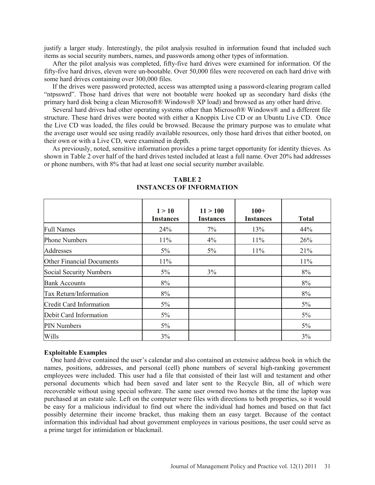justify a larger study. Interestingly, the pilot analysis resulted in information found that included such items as social security numbers, names, and passwords among other types of information.

After the pilot analysis was completed, fifty-five hard drives were examined for information. Of the fifty-five hard drives, eleven were un-bootable. Over 50,000 files were recovered on each hard drive with some hard drives containing over 300,000 files.

If the drives were password protected, access was attempted using a password-clearing program called "ntpsswrd". Those hard drives that were not bootable were hooked up as secondary hard disks (the primary hard disk being a clean Microsoft® Windows® XP load) and browsed as any other hard drive.

Several hard drives had other operating systems other than Microsoft® Windows® and a different file structure. These hard drives were booted with either a Knoppix Live CD or an Ubuntu Live CD. Once the Live CD was loaded, the files could be browsed. Because the primary purpose was to emulate what the average user would see using readily available resources, only those hard drives that either booted, on their own or with a Live CD, were examined in depth.

As previously, noted, sensitive information provides a prime target opportunity for identity thieves. As shown in Table 2 over half of the hard drives tested included at least a full name. Over 20% had addresses or phone numbers, with 8% that had at least one social security number available.

|                           | 1 > 10<br><b>Instances</b> | 11 > 100<br><b>Instances</b> | $100+$<br><b>Instances</b> | <b>Total</b> |
|---------------------------|----------------------------|------------------------------|----------------------------|--------------|
| <b>Full Names</b>         | 24%                        | 7%                           | 13%                        | 44%          |
| <b>Phone Numbers</b>      | 11%                        | 4%                           | $11\%$                     | 26%          |
| Addresses                 | $5\%$                      | $5\%$                        | 11%                        | 21%          |
| Other Financial Documents | 11%                        |                              |                            | 11%          |
| Social Security Numbers   | $5\%$                      | 3%                           |                            | 8%           |
| <b>Bank Accounts</b>      | 8%                         |                              |                            | 8%           |
| Tax Return/Information    | 8%                         |                              |                            | 8%           |
| Credit Card Information   | $5\%$                      |                              |                            | $5\%$        |
| Debit Card Information    | $5\%$                      |                              |                            | $5\%$        |
| <b>PIN Numbers</b>        | $5\%$                      |                              |                            | $5\%$        |
| Wills                     | 3%                         |                              |                            | 3%           |

## **TABLE 2 INSTANCES OF INFORMATION**

## **Exploitable Examples**

 One hard drive contained the user's calendar and also contained an extensive address book in which the names, positions, addresses, and personal (cell) phone numbers of several high-ranking government employees were included. This user had a file that consisted of their last will and testament and other personal documents which had been saved and later sent to the Recycle Bin, all of which were recoverable without using special software. The same user owned two homes at the time the laptop was purchased at an estate sale. Left on the computer were files with directions to both properties, so it would be easy for a malicious individual to find out where the individual had homes and based on that fact possibly determine their income bracket, thus making them an easy target. Because of the contact information this individual had about government employees in various positions, the user could serve as a prime target for intimidation or blackmail.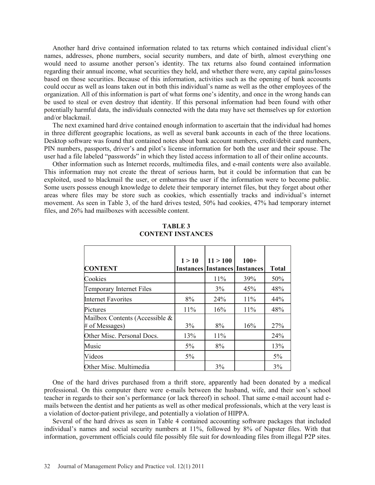Another hard drive contained information related to tax returns which contained individual client's names, addresses, phone numbers, social security numbers, and date of birth, almost everything one would need to assume another person's identity. The tax returns also found contained information regarding their annual income, what securities they held, and whether there were, any capital gains/losses based on those securities. Because of this information, activities such as the opening of bank accounts could occur as well as loans taken out in both this individual's name as well as the other employees of the organization. All of this information is part of what forms one's identity, and once in the wrong hands can be used to steal or even destroy that identity. If this personal information had been found with other potentially harmful data, the individuals connected with the data may have set themselves up for extortion and/or blackmail.

 The next examined hard drive contained enough information to ascertain that the individual had homes in three different geographic locations, as well as several bank accounts in each of the three locations. Desktop software was found that contained notes about bank account numbers, credit/debit card numbers, PIN numbers, passports, driver's and pilot's license information for both the user and their spouse. The user had a file labeled "passwords" in which they listed access information to all of their online accounts.

Other information such as Internet records, multimedia files, and e-mail contents were also available. This information may not create the threat of serious harm, but it could be information that can be exploited, used to blackmail the user, or embarrass the user if the information were to become public. Some users possess enough knowledge to delete their temporary internet files, but they forget about other areas where files may be store such as cookies, which essentially tracks and individual's internet movement. As seen in Table 3, of the hard drives tested, 50% had cookies, 47% had temporary internet files, and 26% had mailboxes with accessible content.

|                                | 1 > 10                     | 11 > 100 | $100+$           |              |
|--------------------------------|----------------------------|----------|------------------|--------------|
| <b>CONTENT</b>                 | <b>Instances Instances</b> |          | <b>Instances</b> | <b>Total</b> |
| Cookies                        |                            | 11%      | 39%              | 50%          |
| Temporary Internet Files       |                            | 3%       | 45%              | 48%          |
| <b>Internet Favorites</b>      | 8%                         | 24%      | 11%              | 44%          |
| Pictures                       | 11%                        | 16%      | 11%              | 48%          |
| Mailbox Contents (Accessible & |                            |          |                  |              |
| # of Messages)                 | 3%                         | 8%       | 16%              | 27%          |
| Other Misc. Personal Docs.     | 13%                        | 11%      |                  | 24%          |
| Music                          | $5\%$                      | 8%       |                  | 13%          |
| Videos                         | $5\%$                      |          |                  | 5%           |
| Other Misc. Multimedia         |                            | 3%       |                  | 3%           |

## **TABLE 3 CONTENT INSTANCES**

One of the hard drives purchased from a thrift store, apparently had been donated by a medical professional. On this computer there were e-mails between the husband, wife, and their son's school teacher in regards to their son's performance (or lack thereof) in school. That same e-mail account had emails between the dentist and her patients as well as other medical professionals, which at the very least is a violation of doctor-patient privilege, and potentially a violation of HIPPA.

Several of the hard drives as seen in Table 4 contained accounting software packages that included individual's names and social security numbers at 11%, followed by 8% of Napster files. With that information, government officials could file possibly file suit for downloading files from illegal P2P sites.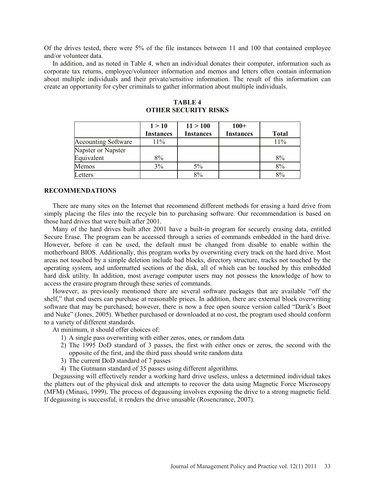Of the drives tested, there were 5% of the file instances between 11 and 100 that contained employee and/or volunteer data.

In addition, and as noted in Table 4, when an individual donates their computer, information such as corporate tax returns, employee/volunteer information and memos and letters often contain information about multiple individuals and their private/sensitive information. The result of this information can create an opportunity for cyber criminals to gather information about multiple individuals.

|                            | 1 > 10           | 11 > 100         | $100+$           |              |
|----------------------------|------------------|------------------|------------------|--------------|
|                            | <b>Instances</b> | <b>Instances</b> | <b>Instances</b> | <b>Total</b> |
| <b>Accounting Software</b> | 11%              |                  |                  | 11%          |
| Napster or Napster         |                  |                  |                  |              |
| Equivalent                 | 8%               |                  |                  | 8%           |
| Memos                      | 3%               | 5%               |                  | 8%           |
| etters                     |                  | 8%               |                  | 8%           |

**TABLE 4 OTHER SECURITY RISKS**

#### **RECOMMENDATIONS**

There are many sites on the Internet that recommend different methods for erasing a hard drive from simply placing the files into the recycle bin to purchasing software. Our recommendation is based on those hard drives that were built after 2001.

Many of the hard drives built after 2001 have a built-in program for securely erasing data, entitled Secure Erase. The program can be accessed through a series of commands embedded in the hard drive. However, before it can be used, the default must be changed from disable to enable within the motherboard BIOS. Additionally, this program works by overwriting every track on the hard drive. Most areas not touched by a simple deletion include bad blocks, directory structure, tracks not touched by the operating system, and unformatted sections of the disk, all of which can be touched by this embedded hard disk utility. In addition, most average computer users may not possess the knowledge of how to access the erasure program through these series of commands.

However, as previously mentioned there are several software packages that are available "off the shelf," that end users can purchase at reasonable prices. In addition, there are external block overwriting software that may be purchased; however, there is now a free open source version called "Darik's Boot and Nuke" (Jones, 2005). Whether purchased or downloaded at no cost, the program used should conform to a variety of different standards.

At minimum, it should offer choices of:

- 1) A single pass overwriting with either zeros, ones, or random data
- 2) The 1995 DoD standard of 3 passes, the first with either ones or zeros, the second with the opposite of the first, and the third pass should write random data
- 3) The current DoD standard of 7 passes
- 4) The Gutmann standard of 35 passes using different algorithms.

Degaussing will effectively render a working hard drive useless, unless a determined individual takes the platters out of the physical disk and attempts to recover the data using Magnetic Force Microscopy (MFM) (Minasi, 1999). The process of degaussing involves exposing the drive to a strong magnetic field. If degaussing is successful, it renders the drive unusable (Rosencrance, 2007).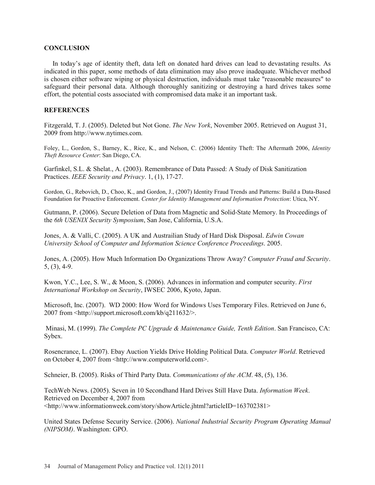## **CONCLUSION**

In today's age of identity theft, data left on donated hard drives can lead to devastating results. As indicated in this paper, some methods of data elimination may also prove inadequate. Whichever method is chosen either software wiping or physical destruction, individuals must take "reasonable measures" to safeguard their personal data. Although thoroughly sanitizing or destroying a hard drives takes some effort, the potential costs associated with compromised data make it an important task.

## **REFERENCES**

Fitzgerald, T. J. (2005). Deleted but Not Gone. *The New York*, November 2005. Retrieved on August 31, 2009 from http://www.nytimes.com.

Foley, L., Gordon, S., Barney, K., Rice, K., and Nelson, C. (2006) Identity Theft: The Aftermath 2006, *Identity Theft Resource Center*: San Diego, CA.

Garfinkel, S.L. & Shelat., A. (2003). Remembrance of Data Passed: A Study of Disk Sanitization Practices. *IEEE Security and Privacy*. 1, (1), 17-27.

Gordon, G., Rebovich, D., Choo, K., and Gordon, J., (2007) Identity Fraud Trends and Patterns: Build a Data-Based Foundation for Proactive Enforcement. *Center for Identity Management and Information Protection*: Utica, NY.

Gutmann, P. (2006). Secure Deletion of Data from Magnetic and Solid-State Memory. In Proceedings of the *6th USENIX Security Symposium*, San Jose, California, U.S.A.

Jones, A. & Valli, C. (2005). A UK and Austrailian Study of Hard Disk Disposal. *Edwin Cowan University School of Computer and Information Science Conference Proceedings*. 2005.

Jones, A. (2005). How Much Information Do Organizations Throw Away? *Computer Fraud and Security*. 5, (3), 4-9.

Kwon, Y.C., Lee, S. W., & Moon, S. (2006). Advances in information and computer security. *First International Workshop on Security*, IWSEC 2006, Kyoto, Japan.

Microsoft, Inc. (2007). WD 2000: How Word for Windows Uses Temporary Files. Retrieved on June 6, 2007 from <http://support.microsoft.com/kb/q211632/>.

Minasi, M. (1999). *The Complete PC Upgrade & Maintenance Guide, Tenth Edition*. San Francisco, CA: Sybex.

Rosencrance, L. (2007). Ebay Auction Yields Drive Holding Political Data. *Computer World*. Retrieved on October 4, 2007 from <http://www.computerworld.com>.

Schneier, B. (2005). Risks of Third Party Data. *Communications of the ACM*. 48, (5), 136.

TechWeb News. (2005). Seven in 10 Secondhand Hard Drives Still Have Data. *Information Week*. Retrieved on December 4, 2007 from <http://www.informationweek.com/story/showArticle.jhtml?articleID=163702381>

United States Defense Security Service. (2006). *National Industrial Security Program Operating Manual (NIPSOM)*. Washington: GPO.